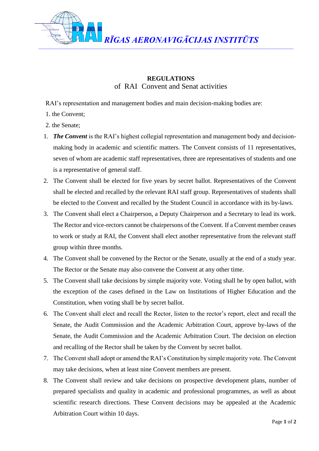

## **REGULATIONS** of RAIConvent and Senat activities

RAI's representation and management bodies and main decision-making bodies are:

- 1. the Convent;
- 2. the Senate;
- 1. *The Convent* is the RAI's highest collegial representation and management body and decisionmaking body in academic and scientific matters. The Convent consists of 11 representatives, seven of whom are academic staff representatives, three are representatives of students and one is a representative of general staff.
- 2. The Convent shall be elected for five years by secret ballot. Representatives of the Convent shall be elected and recalled by the relevant RAI staff group. Representatives of students shall be elected to the Convent and recalled by the Student Council in accordance with its by-laws.
- 3. The Convent shall elect a Chairperson, a Deputy Chairperson and a Secretary to lead its work. The Rector and vice-rectors cannot be chairpersons of the Convent. If a Convent member ceases to work or study at RAI, the Convent shall elect another representative from the relevant staff group within three months.
- 4. The Convent shall be convened by the Rector or the Senate, usually at the end of a study year. The Rector or the Senate may also convene the Convent at any other time.
- 5. The Convent shall take decisions by simple majority vote. Voting shall be by open ballot, with the exception of the cases defined in the Law on Institutions of Higher Education and the Constitution, when voting shall be by secret ballot.
- 6. The Convent shall elect and recall the Rector, listen to the rector's report, elect and recall the Senate, the Audit Commission and the Academic Arbitration Court, approve by-laws of the Senate, the Audit Commission and the Academic Arbitration Court. The decision on election and recalling of the Rector shall be taken by the Convent by secret ballot.
- 7. The Convent shall adopt or amend the RAI's Constitution by simple majority vote. The Convent may take decisions, when at least nine Convent members are present.
- 8. The Convent shall review and take decisions on prospective development plans, number of prepared specialists and quality in academic and professional programmes, as well as about scientific research directions. These Convent decisions may be appealed at the Academic Arbitration Court within 10 days.